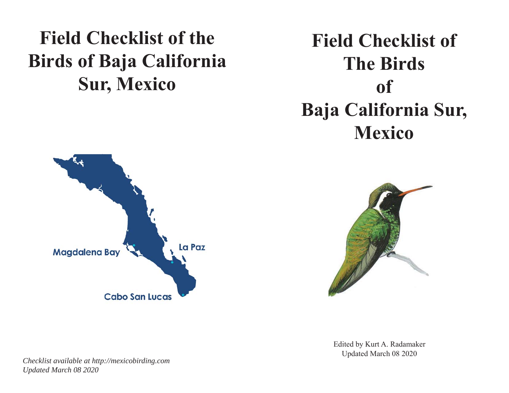# **Field Checklist of the Birds of Baja California Sur, Mexico**

# **Field Checklist of The Birds of Baja California Sur, Mexico**





Edited by Kurt A. Radamaker Updated March 08 2020

*Checklist available at http://mexicobirding.com Updated March 08 2020*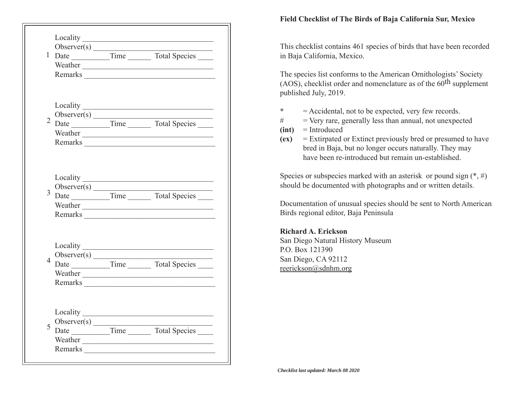|                |             | 2 Observer(s) Time Total Species<br>Weather <u>experience</u>                                                                                                                                                                       |  |
|----------------|-------------|-------------------------------------------------------------------------------------------------------------------------------------------------------------------------------------------------------------------------------------|--|
| $\overline{3}$ |             | Weather <u>example</u> and the set of the set of the set of the set of the set of the set of the set of the set of the set of the set of the set of the set of the set of the set of the set of the set of the set of the set of th |  |
| $\overline{4}$ |             |                                                                                                                                                                                                                                     |  |
| 5              | Observer(s) | Weather <u>the contract of</u> the contract of the contract of the contract of the contract of the contract of the contract of the contract of the contract of the contract of the contract of the contract of the contract of the  |  |

#### **Field Checklist of The Birds of Baja California Sur, Mexico**

This checklist contains 461 species of birds that have been recorded in Baja California, Mexico.

The species list conforms to the American Ornithologists' Society (AOS), checklist order and nomenclature as of the  $60<sup>th</sup>$  supplement published July, 2019.

- **\***= Accidental, not to be expected, very few records.
- # = Very rare, generally less than annual, not unexpected
- **(int)** = Introduced
- **(ex)** = Extirpated or Extinct previously bred or presumed to have bred in Baja, but no longer occurs naturally. They may have been re-introduced but remain un-established.

Species or subspecies marked with an asterisk or pound sign  $(*, \#)$ should be documented with photographs and or written details.

Documentation of unusual species should be sent to North American Birds regional editor, Baja Peninsula

### **Richard A. Erickson**

San Diego Natural History Museum P.O. Box 121390San Diego, CA 92112 reerickson@sdnhm.org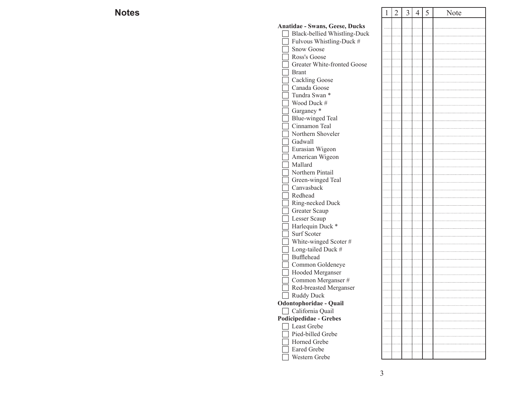| S                                          | $\overline{2}$ | $\mathfrak{Z}$ | $\overline{4}$ | 5 | Note |
|--------------------------------------------|----------------|----------------|----------------|---|------|
| Anatidae - Swans, Geese, Ducks             |                |                |                |   |      |
| Black-bellied Whistling-Duck               |                |                |                |   |      |
| Fulvous Whistling-Duck #                   |                |                |                |   |      |
| <b>Snow Goose</b>                          |                |                |                |   |      |
| Ross's Goose                               |                |                |                |   |      |
| Greater White-fronted Goose                |                |                |                |   |      |
| <b>Brant</b>                               |                |                |                |   |      |
| <b>Cackling Goose</b>                      |                |                |                |   |      |
| Canada Goose                               |                |                |                |   |      |
| Tundra Swan *                              |                |                |                |   |      |
| Wood Duck #                                |                |                |                |   |      |
| Garganey <sup>*</sup>                      |                |                |                |   |      |
| <b>Blue-winged Teal</b>                    |                |                |                |   |      |
| Cinnamon Teal                              |                |                |                |   |      |
| Northern Shoveler                          |                |                |                |   |      |
| Gadwall                                    |                |                |                |   |      |
| Eurasian Wigeon                            |                |                |                |   |      |
| American Wigeon                            |                |                |                |   |      |
| Mallard                                    |                |                |                |   |      |
| Northern Pintail                           |                |                |                |   |      |
| Green-winged Teal                          |                |                |                |   |      |
| Canvasback                                 |                |                |                |   |      |
| Redhead                                    |                |                |                |   |      |
| Ring-necked Duck                           |                |                |                |   |      |
| Greater Scaup                              |                |                |                |   |      |
| Lesser Scaup                               |                |                |                |   |      |
| Harlequin Duck *<br>Surf Scoter            |                |                |                |   |      |
|                                            |                |                |                |   |      |
| White-winged Scoter#<br>Long-tailed Duck # |                |                |                |   |      |
| Bufflehead                                 |                |                |                |   |      |
| Common Goldeneye                           |                |                |                |   |      |
| Hooded Merganser                           |                |                |                |   |      |
| Common Merganser #                         |                |                |                |   |      |
| Red-breasted Merganser                     |                |                |                |   |      |
| Ruddy Duck                                 |                |                |                |   |      |
| Odontophoridae - Quail                     |                |                |                |   |      |
| California Quail                           |                |                |                |   |      |
| Podicipedidae - Grebes                     |                |                |                |   |      |
| Least Grebe                                |                |                |                |   |      |
| Pied-billed Grebe                          |                |                |                |   |      |
| Horned Grebe                               |                |                |                |   |      |
| Eared Grebe                                |                |                |                |   |      |
| Western Grebe                              |                |                |                |   |      |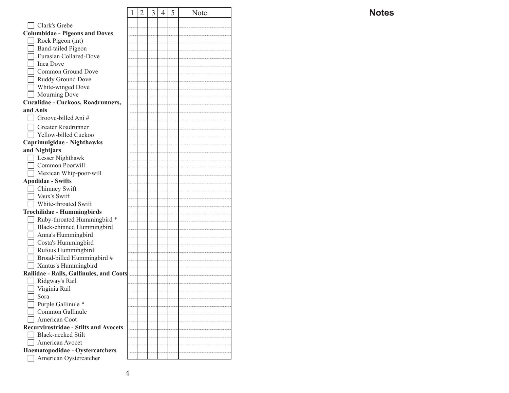|                                              | 1 | $\overline{2}$ | 3 | 4 | 5 | Note |
|----------------------------------------------|---|----------------|---|---|---|------|
| Clark's Grebe                                |   |                |   |   |   |      |
|                                              |   |                |   |   |   |      |
| <b>Columbidae - Pigeons and Doves</b>        |   |                |   |   |   |      |
| Rock Pigeon (int)                            |   |                |   |   |   |      |
| <b>Band-tailed Pigeon</b>                    |   |                |   |   |   |      |
| Eurasian Collared-Dove                       |   |                |   |   |   |      |
| <b>Inca Dove</b>                             |   |                |   |   |   |      |
| Common Ground Dove                           |   |                |   |   |   |      |
| Ruddy Ground Dove                            |   |                |   |   |   |      |
| White-winged Dove                            |   |                |   |   |   |      |
| Mourning Dove                                |   |                |   |   |   |      |
| Cuculidae - Cuckoos, Roadrunners,            |   |                |   |   |   |      |
| and Anis                                     |   |                |   |   |   |      |
| Groove-billed Ani#                           |   |                |   |   |   |      |
| Greater Roadrunner                           |   |                |   |   |   |      |
| Yellow-billed Cuckoo                         |   |                |   |   |   |      |
| Caprimulgidae - Nighthawks                   |   |                |   |   |   |      |
| and Nightjars                                |   |                |   |   |   |      |
| Lesser Nighthawk                             |   |                |   |   |   |      |
| Common Poorwill                              |   |                |   |   |   |      |
| Mexican Whip-poor-will                       |   |                |   |   |   |      |
| <b>Apodidae - Swifts</b>                     |   |                |   |   |   |      |
| Chimney Swift                                |   |                |   |   |   |      |
| Vaux's Swift                                 |   |                |   |   |   |      |
| White-throated Swift                         |   |                |   |   |   |      |
| <b>Trochilidae - Hummingbirds</b>            |   |                |   |   |   |      |
| Ruby-throated Hummingbird *                  |   |                |   |   |   |      |
| Black-chinned Hummingbird                    |   |                |   |   |   |      |
| Anna's Hummingbird                           |   |                |   |   |   |      |
| Costa's Hummingbird<br>Rufous Hummingbird    |   |                |   |   |   |      |
| Broad-billed Hummingbird #                   |   |                |   |   |   |      |
| Xantus's Hummingbird                         |   |                |   |   |   |      |
| Rallidae - Rails, Gallinules, and Coots      |   |                |   |   |   |      |
| Ridgway's Rail                               |   |                |   |   |   |      |
| Virginia Rail                                |   |                |   |   |   |      |
| Sora                                         |   |                |   |   |   |      |
| Purple Gallinule *                           |   |                |   |   |   |      |
| Common Gallinule                             |   |                |   |   |   |      |
| American Coot                                |   |                |   |   |   |      |
| <b>Recurvirostridae - Stilts and Avocets</b> |   |                |   |   |   |      |
| Black-necked Stilt                           |   |                |   |   |   |      |
| American Avocet                              |   |                |   |   |   |      |
| Haematopodidae - Oystercatchers              |   |                |   |   |   |      |
| American Oystercatcher                       |   |                |   |   |   |      |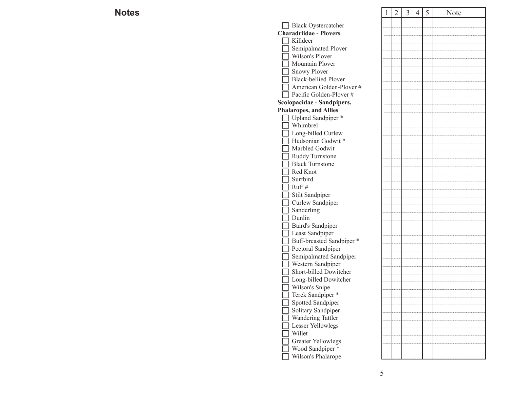| S                             | $\mathbf{1}$ | $\overline{2}$ | $\overline{3}$ | $\overline{4}$ | 5 | Note |
|-------------------------------|--------------|----------------|----------------|----------------|---|------|
| Black Oystercatcher           |              |                |                |                |   |      |
| <b>Charadriidae - Plovers</b> |              |                |                |                |   |      |
| Killdeer                      |              |                |                |                |   |      |
| Semipalmated Plover           |              |                |                |                |   |      |
| Wilson's Plover               |              |                |                |                |   |      |
| Mountain Plover               |              |                |                |                |   |      |
| <b>Snowy Plover</b>           |              |                |                |                |   |      |
| <b>Black-bellied Plover</b>   |              |                |                |                |   |      |
| American Golden-Plover #      |              |                |                |                |   |      |
| Pacific Golden-Plover #       |              |                |                |                |   |      |
| Scolopacidae - Sandpipers,    |              |                |                |                |   |      |
| <b>Phalaropes, and Allies</b> |              |                |                |                |   |      |
| Upland Sandpiper *            |              |                |                |                |   |      |
| Whimbrel                      |              |                |                |                |   |      |
| Long-billed Curlew            |              |                |                |                |   |      |
| Hudsonian Godwit*             |              |                |                |                |   |      |
| Marbled Godwit                |              |                |                |                |   |      |
| Ruddy Turnstone               |              |                |                |                |   |      |
| <b>Black Turnstone</b>        |              |                |                |                |   |      |
| Red Knot                      |              |                |                |                |   |      |
| Surfbird                      |              |                |                |                |   |      |
| Ruff#                         |              |                |                |                |   |      |
| Stilt Sandpiper               |              |                |                |                |   |      |
| Curlew Sandpiper              |              |                |                |                |   |      |
| Sanderling                    |              |                |                |                |   |      |
| Dunlin                        |              |                |                |                |   |      |
| Baird's Sandpiper             |              |                |                |                |   |      |
| Least Sandpiper               |              |                |                |                |   |      |
| Buff-breasted Sandpiper *     |              |                |                |                |   |      |
| Pectoral Sandpiper            |              |                |                |                |   |      |
| Semipalmated Sandpiper        |              |                |                |                |   |      |
| Western Sandpiper             |              |                |                |                |   |      |
| Short-billed Dowitcher        |              |                |                |                |   |      |
| Long-billed Dowitcher         |              |                |                |                |   |      |
| Wilson's Snipe                |              |                |                |                |   |      |
| Terek Sandpiper *             |              |                |                |                |   |      |
| Spotted Sandpiper             |              |                |                |                |   |      |
| Solitary Sandpiper            |              |                |                |                |   |      |
| Wandering Tattler             |              |                |                |                |   |      |
| Lesser Yellowlegs             |              |                |                |                |   |      |
| Willet                        |              |                |                |                |   |      |
| <b>Greater Yellowlegs</b>     |              |                |                |                |   |      |
| Wood Sandpiper*               |              |                |                |                |   |      |
| Wilson's Phalarope            |              |                |                |                |   |      |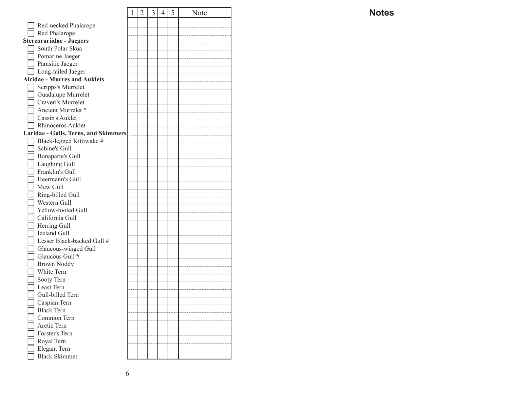|                                      | 1 | 2 | 3 | 4 | 5 | Note |
|--------------------------------------|---|---|---|---|---|------|
| Red-necked Phalarope                 |   |   |   |   |   |      |
| Red Phalarope                        |   |   |   |   |   |      |
| <b>Stercorariidae - Jaegers</b>      |   |   |   |   |   |      |
| South Polar Skua                     |   |   |   |   |   |      |
|                                      |   |   |   |   |   |      |
| Pomarine Jaeger                      |   |   |   |   |   |      |
| Parasitic Jaeger                     |   |   |   |   |   |      |
| Long-tailed Jaeger                   |   |   |   |   |   |      |
| <b>Alcidae - Murres and Auklets</b>  |   |   |   |   |   |      |
| Scripps's Murrelet                   |   |   |   |   |   |      |
| Guadalupe Murrelet                   |   |   |   |   |   |      |
| Craveri's Murrelet                   |   |   |   |   |   |      |
| Ancient Murrelet *                   |   |   |   |   |   |      |
| Cassin's Auklet                      |   |   |   |   |   |      |
| Rhinoceros Auklet                    |   |   |   |   |   |      |
| Laridae - Gulls, Terns, and Skimmers |   |   |   |   |   |      |
| Black-legged Kittiwake #             |   |   |   |   |   |      |
| Sabine's Gull                        |   |   |   |   |   |      |
| Bonaparte's Gull                     |   |   |   |   |   |      |
| Laughing Gull                        |   |   |   |   |   |      |
| Franklin's Gull                      |   |   |   |   |   |      |
| Heermann's Gull                      |   |   |   |   |   |      |
| Mew Gull                             |   |   |   |   |   |      |
| Ring-billed Gull                     |   |   |   |   |   |      |
| Western Gull                         |   |   |   |   |   |      |
| Yellow-footed Gull                   |   |   |   |   |   |      |
| California Gull                      |   |   |   |   |   |      |
| Herring Gull                         |   |   |   |   |   |      |
| Iceland Gull                         |   |   |   |   |   |      |
| Lesser Black-backed Gull #           |   |   |   |   |   |      |
| Glaucous-winged Gull                 |   |   |   |   |   |      |
| Glaucous Gull #                      |   |   |   |   |   |      |
| <b>Brown Noddy</b>                   |   |   |   |   |   |      |
| White Tern                           |   |   |   |   |   |      |
| Sooty Tern                           |   |   |   |   |   |      |
| Least Tern                           |   |   |   |   |   |      |
| Gull-billed Tern                     |   |   |   |   |   |      |
| Caspian Tern                         |   |   |   |   |   |      |
| <b>Black Tern</b>                    |   |   |   |   |   |      |
| Common Tern                          |   |   |   |   |   |      |
| Arctic Tern                          |   |   |   |   |   |      |
| Forster's Tern                       |   |   |   |   |   |      |
| Royal Tern                           |   |   |   |   |   |      |
| Elegant Tern                         |   |   |   |   |   |      |
| <b>Black Skimmer</b>                 |   |   |   |   |   |      |
|                                      |   |   |   |   |   |      |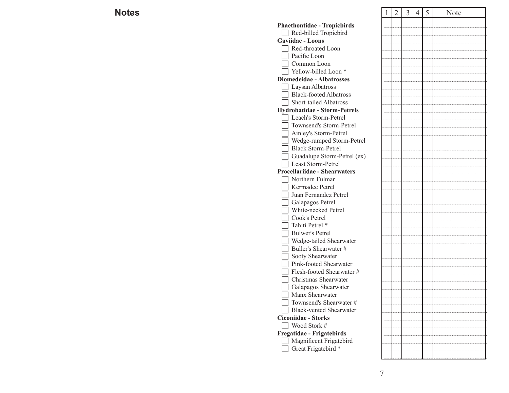| S                                   | $\overline{2}$ | $\overline{3}$ | $\overline{4}$ | 5 | Note |
|-------------------------------------|----------------|----------------|----------------|---|------|
| <b>Phaethontidae - Tropicbirds</b>  |                |                |                |   |      |
| Red-billed Tropicbird               |                |                |                |   |      |
| <b>Gaviidae - Loons</b>             |                |                |                |   |      |
| Red-throated Loon                   |                |                |                |   |      |
| Pacific Loon                        |                |                |                |   |      |
| Common Loon                         |                |                |                |   |      |
| Yellow-billed Loon <sup>*</sup>     |                |                |                |   |      |
| <b>Diomedeidae - Albatrosses</b>    |                |                |                |   |      |
| Laysan Albatross                    |                |                |                |   |      |
| <b>Black-footed Albatross</b>       |                |                |                |   |      |
| Short-tailed Albatross              |                |                |                |   |      |
| <b>Hydrobatidae - Storm-Petrels</b> |                |                |                |   |      |
| Leach's Storm-Petrel                |                |                |                |   |      |
| Townsend's Storm-Petrel             |                |                |                |   |      |
| Ainley's Storm-Petrel               |                |                |                |   |      |
| Wedge-rumped Storm-Petrel           |                |                |                |   |      |
| <b>Black Storm-Petrel</b>           |                |                |                |   |      |
| Guadalupe Storm-Petrel (ex)         |                |                |                |   |      |
| Least Storm-Petrel                  |                |                |                |   |      |
| <b>Procellariidae - Shearwaters</b> |                |                |                |   |      |
| Northern Fulmar                     |                |                |                |   |      |
| Kermadec Petrel                     |                |                |                |   |      |
| Juan Fernandez Petrel               |                |                |                |   |      |
| Galapagos Petrel                    |                |                |                |   |      |
| White-necked Petrel                 |                |                |                |   |      |
| Cook's Petrel                       |                |                |                |   |      |
| Tahiti Petrel *                     |                |                |                |   |      |
| <b>Bulwer's Petrel</b>              |                |                |                |   |      |
| Wedge-tailed Shearwater             |                |                |                |   |      |
| Buller's Shearwater #               |                |                |                |   |      |
| Sooty Shearwater                    |                |                |                |   |      |
| Pink-footed Shearwater              |                |                |                |   |      |
| Flesh-footed Shearwater #           |                |                |                |   |      |
| Christmas Shearwater                |                |                |                |   |      |
| Galapagos Shearwater                |                |                |                |   |      |
| Manx Shearwater                     |                |                |                |   |      |
| Townsend's Shearwater #             |                |                |                |   |      |
| <b>Black-vented Shearwater</b>      |                |                |                |   |      |
| <b>Ciconiidae - Storks</b>          |                |                |                |   |      |
| Wood Stork #                        |                |                |                |   |      |
| Fregatidae - Frigatebirds           |                |                |                |   |      |
| Magnificent Frigatebird             |                |                |                |   |      |
| Great Frigatebird <sup>*</sup>      |                |                |                |   |      |
|                                     |                |                |                |   |      |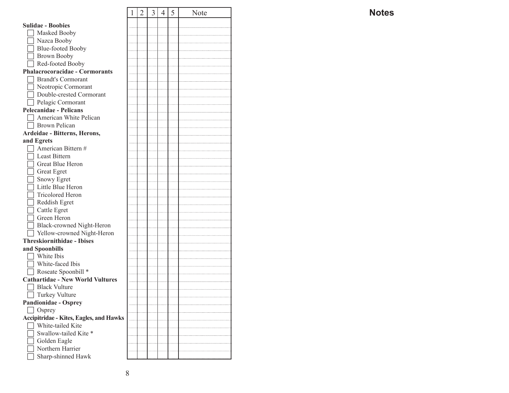|                                                | 1 | $\overline{2}$ | $\mathfrak{Z}$ | 4 | 5 | Note |
|------------------------------------------------|---|----------------|----------------|---|---|------|
| <b>Sulidae - Boobies</b>                       |   |                |                |   |   |      |
| Masked Booby                                   |   |                |                |   |   |      |
|                                                |   |                |                |   |   |      |
| Nazca Booby                                    |   |                |                |   |   |      |
| Blue-footed Booby                              |   |                |                |   |   |      |
| Brown Booby                                    |   |                |                |   |   |      |
| Red-footed Booby                               |   |                |                |   |   |      |
| Phalacrocoracidae - Cormorants                 |   |                |                |   |   |      |
| <b>Brandt's Cormorant</b>                      |   |                |                |   |   |      |
| Neotropic Cormorant                            |   |                |                |   |   |      |
| Double-crested Cormorant                       |   |                |                |   |   |      |
| Pelagic Cormorant                              |   |                |                |   |   |      |
| <b>Pelecanidae - Pelicans</b>                  |   |                |                |   |   |      |
| American White Pelican                         |   |                |                |   |   |      |
| Brown Pelican                                  |   |                |                |   |   |      |
| Ardeidae - Bitterns, Herons,                   |   |                |                |   |   |      |
| and Egrets                                     |   |                |                |   |   |      |
| American Bittern #                             |   |                |                |   |   |      |
| <b>Least Bittern</b>                           |   |                |                |   |   |      |
| Great Blue Heron                               |   |                |                |   |   |      |
| Great Egret                                    |   |                |                |   |   |      |
| <b>Snowy Egret</b>                             |   |                |                |   |   |      |
| Little Blue Heron                              |   |                |                |   |   |      |
| <b>Tricolored Heron</b>                        |   |                |                |   |   |      |
| Reddish Egret                                  |   |                |                |   |   |      |
| Cattle Egret                                   |   |                |                |   |   |      |
| Green Heron                                    |   |                |                |   |   |      |
| Black-crowned Night-Heron                      |   |                |                |   |   |      |
| Vellow-crowned Night-Heron                     |   |                |                |   |   |      |
| <b>Threskiornithidae - Ibises</b>              |   |                |                |   |   |      |
| and Spoonbills                                 |   |                |                |   |   |      |
| White Ibis                                     |   |                |                |   |   |      |
| White-faced Ibis                               |   |                |                |   |   |      |
| Roseate Spoonbill *                            |   |                |                |   |   |      |
| <b>Cathartidae - New World Vultures</b>        |   |                |                |   |   |      |
| <b>Black Vulture</b>                           |   |                |                |   |   |      |
| $\Box$ Turkey Vulture                          |   |                |                |   |   |      |
| <b>Pandionidae - Osprey</b>                    |   |                |                |   |   |      |
|                                                |   |                |                |   |   |      |
| Osprey                                         |   |                |                |   |   |      |
| <b>Accipitridae - Kites, Eagles, and Hawks</b> |   |                |                |   |   |      |
| White-tailed Kite                              |   |                |                |   |   |      |
| Swallow-tailed Kite <sup>*</sup>               |   |                |                |   |   |      |
| Golden Eagle                                   |   |                |                |   |   |      |
| Northern Harrier                               |   |                |                |   |   |      |
| Sharp-shinned Hawk                             |   |                |                |   |   |      |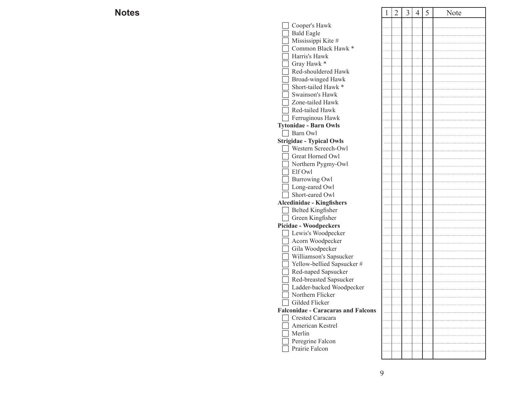| S                                         | 2 | $\mathfrak{Z}$ | $\overline{4}$ | 5 | Note |
|-------------------------------------------|---|----------------|----------------|---|------|
| Cooper's Hawk                             |   |                |                |   |      |
| <b>Bald Eagle</b>                         |   |                |                |   |      |
| Mississippi Kite #                        |   |                |                |   |      |
| Common Black Hawk *                       |   |                |                |   |      |
| Harris's Hawk                             |   |                |                |   |      |
| Gray Hawk *                               |   |                |                |   |      |
| Red-shouldered Hawk                       |   |                |                |   |      |
| Broad-winged Hawk                         |   |                |                |   |      |
| Short-tailed Hawk <sup>*</sup>            |   |                |                |   |      |
| Swainson's Hawk                           |   |                |                |   |      |
| Zone-tailed Hawk                          |   |                |                |   |      |
| Red-tailed Hawk                           |   |                |                |   |      |
| Ferruginous Hawk                          |   |                |                |   |      |
| <b>Tytonidae - Barn Owls</b>              |   |                |                |   |      |
| Barn Owl                                  |   |                |                |   |      |
| <b>Strigidae - Typical Owls</b>           |   |                |                |   |      |
| Western Screech-Owl                       |   |                |                |   |      |
| Great Horned Owl                          |   |                |                |   |      |
| Northern Pygmy-Owl                        |   |                |                |   |      |
| Elf Owl                                   |   |                |                |   |      |
| <b>Burrowing Owl</b>                      |   |                |                |   |      |
| Long-eared Owl                            |   |                |                |   |      |
| Short-eared Owl                           |   |                |                |   |      |
| <b>Alcedinidae - Kingfishers</b>          |   |                |                |   |      |
| <b>Belted Kingfisher</b>                  |   |                |                |   |      |
| Green Kingfisher                          |   |                |                |   |      |
| <b>Picidae - Woodpeckers</b>              |   |                |                |   |      |
| Lewis's Woodpecker                        |   |                |                |   |      |
| Acorn Woodpecker                          |   |                |                |   |      |
| Gila Woodpecker                           |   |                |                |   |      |
| Williamson's Sapsucker                    |   |                |                |   |      |
| Yellow-bellied Sapsucker#                 |   |                |                |   |      |
| Red-naped Sapsucker                       |   |                |                |   |      |
| Red-breasted Sapsucker                    |   |                |                |   |      |
| Ladder-backed Woodpecker                  |   |                |                |   |      |
| $\Box$ Northern Flicker                   |   |                |                |   |      |
| Gilded Flicker                            |   |                |                |   |      |
| <b>Falconidae - Caracaras and Falcons</b> |   |                |                |   |      |
| Crested Caracara                          |   |                |                |   |      |
| American Kestrel                          |   |                |                |   |      |
| Merlin                                    |   |                |                |   |      |
| Peregrine Falcon                          |   |                |                |   |      |
| Prairie Falcon                            |   |                |                |   |      |
|                                           |   |                |                |   |      |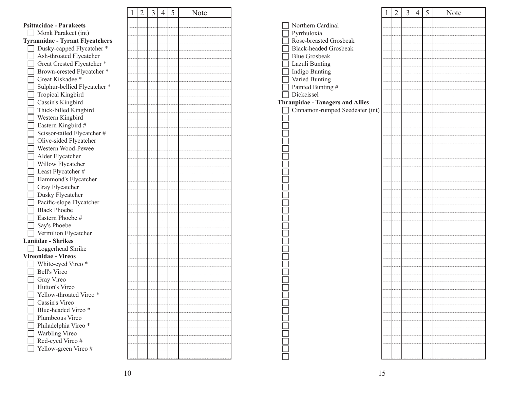|                                        | 1 | 2 |
|----------------------------------------|---|---|
| <b>Psittacidae - Parakeets</b>         |   |   |
| Monk Parakeet (int)                    |   |   |
| <b>Tyrannidae - Tyrant Flycatchers</b> |   |   |
| Dusky-capped Flycatcher *              |   |   |
| Ash-throated Flycatcher                |   |   |
| Great Crested Flycatcher *             |   |   |
| Brown-crested Flycatcher *             |   |   |
| Great Kiskadee*                        |   |   |
| Sulphur-bellied Flycatcher *           |   |   |
| Tropical Kingbird                      |   |   |
| Cassin's Kingbird                      |   |   |
| Thick-billed Kingbird                  |   |   |
| Western Kingbird                       |   |   |
| Eastern Kingbird #                     |   |   |
| Scissor-tailed Flycatcher #            |   |   |
| Olive-sided Flycatcher                 |   |   |
| Western Wood-Pewee                     |   |   |
| Alder Flycatcher                       |   |   |
| Willow Flycatcher                      |   |   |
| Least Flycatcher #                     |   |   |
| Hammond's Flycatcher                   |   |   |
| Gray Flycatcher                        |   |   |
| Dusky Flycatcher                       |   |   |
| Pacific-slope Flycatcher               |   |   |
| <b>Black Phoebe</b>                    |   |   |
| Eastern Phoebe #                       |   |   |
| Say's Phoebe                           |   |   |
| Vermilion Flycatcher                   |   |   |
| <b>Laniidae - Shrikes</b>              |   |   |
| Loggerhead Shrike                      |   |   |
| <b>Vireonidae - Vireos</b>             |   |   |
| White-eyed Vireo *                     |   |   |
| <b>Bell's Vireo</b>                    |   |   |
| Gray Vireo                             |   |   |
| Hutton's Vireo                         |   |   |
| Yellow-throated Vireo*                 |   |   |
| Cassin's Vireo<br>Blue-headed Vireo *  |   |   |
| Plumbeous Vireo                        |   |   |
|                                        |   |   |
| Philadelphia Vireo *                   |   |   |
| Warbling Vireo<br>Red-eyed Vireo #     |   |   |
| Yellow-green Vireo #                   |   |   |
|                                        |   |   |
|                                        |   |   |

| $\mathbf 1$ | $\overline{2}$ | $\overline{3}$ | $\overline{4}$ | $\overline{5}$ | Note |
|-------------|----------------|----------------|----------------|----------------|------|
|             |                |                |                |                |      |
|             |                |                |                |                |      |
|             |                |                |                |                |      |
|             |                |                |                |                |      |
|             |                |                |                |                |      |
|             |                |                |                |                |      |
|             |                |                |                |                |      |
|             |                |                |                |                |      |
|             |                |                |                |                |      |
|             |                |                |                |                |      |
|             |                |                |                |                |      |
|             |                |                |                |                |      |
|             |                |                |                |                |      |
|             |                |                |                |                |      |
|             |                |                |                |                |      |
|             |                |                |                |                |      |
|             |                |                |                |                |      |
|             |                |                |                |                |      |
|             |                |                |                |                |      |
|             |                |                |                |                |      |
|             |                |                |                |                |      |
|             |                |                |                |                |      |
|             |                |                |                |                |      |
|             |                |                |                |                |      |
|             |                |                |                |                |      |
|             |                |                |                |                |      |
|             |                |                |                |                |      |
|             |                |                |                |                |      |
|             |                |                |                |                |      |
|             |                |                |                |                |      |
|             |                |                |                |                |      |
|             |                |                |                |                |      |
|             |                |                |                |                |      |
|             |                |                |                |                |      |
|             |                |                |                |                |      |
|             |                |                |                |                |      |
|             |                |                |                |                |      |
|             |                |                |                |                |      |

|                                         | 1 | $\overline{2}$ | 3 | $\overline{4}$ | 5 | Note |
|-----------------------------------------|---|----------------|---|----------------|---|------|
| Northern Cardinal                       |   |                |   |                |   |      |
| Pyrrhuloxia                             |   |                |   |                |   |      |
| Rose-breasted Grosbeak                  |   |                |   |                |   |      |
| <b>Black-headed Grosbeak</b>            |   |                |   |                |   |      |
| <b>Blue Grosbeak</b>                    |   |                |   |                |   |      |
| Lazuli Bunting                          |   |                |   |                |   |      |
| Indigo Bunting                          |   |                |   |                |   |      |
| Varied Bunting                          |   |                |   |                |   |      |
| Painted Bunting #                       |   |                |   |                |   |      |
| Dickcissel                              |   |                |   |                |   |      |
| <b>Thraupidae - Tanagers and Allies</b> |   |                |   |                |   |      |
| Cinnamon-rumped Seedeater (int)         |   |                |   |                |   |      |
|                                         |   |                |   |                |   |      |
|                                         |   |                |   |                |   |      |
|                                         |   |                |   |                |   |      |
|                                         |   |                |   |                |   |      |
|                                         |   |                |   |                |   |      |
|                                         |   |                |   |                |   |      |
|                                         |   |                |   |                |   |      |
|                                         |   |                |   |                |   |      |
|                                         |   |                |   |                |   |      |
|                                         |   |                |   |                |   |      |
|                                         |   |                |   |                |   |      |
|                                         |   |                |   |                |   |      |
|                                         |   |                |   |                |   |      |
|                                         |   |                |   |                |   |      |
|                                         |   |                |   |                |   |      |
|                                         |   |                |   |                |   |      |
|                                         |   |                |   |                |   |      |
|                                         |   |                |   |                |   |      |
|                                         |   |                |   |                |   |      |
|                                         |   |                |   |                |   |      |
|                                         |   |                |   |                |   |      |
|                                         |   |                |   |                |   |      |
|                                         |   |                |   |                |   |      |
|                                         |   |                |   |                |   |      |
|                                         |   |                |   |                |   |      |
|                                         |   |                |   |                |   |      |
|                                         |   |                |   |                |   |      |
|                                         |   |                |   |                |   |      |
|                                         |   |                |   |                |   |      |
|                                         |   |                |   |                |   |      |
|                                         |   |                |   |                |   |      |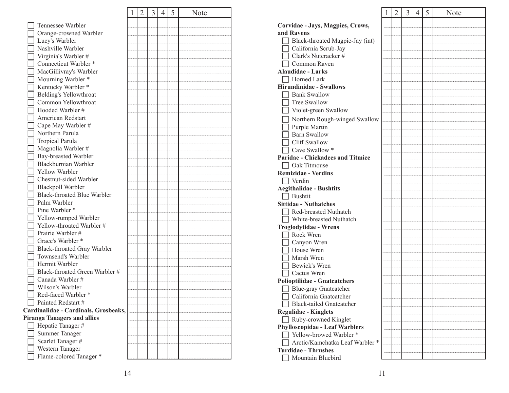|                                      | 1 | 2 | 3 | 4 | 5 | Note |
|--------------------------------------|---|---|---|---|---|------|
| Tennessee Warbler                    |   |   |   |   |   |      |
| Orange-crowned Warbler               |   |   |   |   |   |      |
| Lucy's Warbler                       |   |   |   |   |   |      |
| Nashville Warbler                    |   |   |   |   |   |      |
| Virginia's Warbler #                 |   |   |   |   |   |      |
| Connecticut Warbler *                |   |   |   |   |   |      |
|                                      |   |   |   |   |   |      |
| MacGillivray's Warbler               |   |   |   |   |   |      |
| Mourning Warbler *                   |   |   |   |   |   |      |
| Kentucky Warbler *                   |   |   |   |   |   |      |
| Belding's Yellowthroat               |   |   |   |   |   |      |
| Common Yellowthroat                  |   |   |   |   |   |      |
| Hooded Warbler #                     |   |   |   |   |   |      |
| American Redstart                    |   |   |   |   |   |      |
| Cape May Warbler #                   |   |   |   |   |   |      |
| Northern Parula                      |   |   |   |   |   |      |
| <b>Tropical Parula</b>               |   |   |   |   |   |      |
| Magnolia Warbler #                   |   |   |   |   |   |      |
| Bay-breasted Warbler                 |   |   |   |   |   |      |
| Blackburnian Warbler                 |   |   |   |   |   |      |
| Yellow Warbler                       |   |   |   |   |   |      |
| Chestnut-sided Warbler               |   |   |   |   |   |      |
| Blackpoll Warbler                    |   |   |   |   |   |      |
| <b>Black-throated Blue Warbler</b>   |   |   |   |   |   |      |
| Palm Warbler                         |   |   |   |   |   |      |
| Pine Warbler *                       |   |   |   |   |   |      |
| Yellow-rumped Warbler                |   |   |   |   |   |      |
| Yellow-throated Warbler #            |   |   |   |   |   |      |
| Prairie Warbler #                    |   |   |   |   |   |      |
| Grace's Warbler *                    |   |   |   |   |   |      |
| Black-throated Gray Warbler          |   |   |   |   |   |      |
| Townsend's Warbler                   |   |   |   |   |   |      |
| Hermit Warbler                       |   |   |   |   |   |      |
| Black-throated Green Warbler #       |   |   |   |   |   |      |
| Canada Warbler #                     |   |   |   |   |   |      |
| Wilson's Warbler                     |   |   |   |   |   |      |
| Red-faced Warbler *                  |   |   |   |   |   |      |
| Painted Redstart #                   |   |   |   |   |   |      |
| Cardinalidae - Cardinals, Grosbeaks, |   |   |   |   |   |      |
| <b>Piranga Tanagers and allies</b>   |   |   |   |   |   |      |
| Hepatic Tanager#                     |   |   |   |   |   |      |
| <b>Summer Tanager</b>                |   |   |   |   |   |      |
| Scarlet Tanager#                     |   |   |   |   |   |      |
| Western Tanager                      |   |   |   |   |   |      |
| Flame-colored Tanager *              |   |   |   |   |   |      |

|                                                                  | 1 | $\overline{2}$ | 3 | $\overline{4}$ | 5 | Note |
|------------------------------------------------------------------|---|----------------|---|----------------|---|------|
| Corvidae - Jays, Magpies, Crows,                                 |   |                |   |                |   |      |
| and Ravens                                                       |   |                |   |                |   |      |
| Black-throated Magpie-Jay (int)                                  |   |                |   |                |   |      |
| California Scrub-Jay                                             |   |                |   |                |   |      |
| Clark's Nutcracker #                                             |   |                |   |                |   |      |
| Common Raven                                                     |   |                |   |                |   |      |
| <b>Alaudidae - Larks</b>                                         |   |                |   |                |   |      |
| Horned Lark                                                      |   |                |   |                |   |      |
| <b>Hirundinidae - Swallows</b>                                   |   |                |   |                |   |      |
| <b>Bank Swallow</b>                                              |   |                |   |                |   |      |
| Tree Swallow                                                     |   |                |   |                |   |      |
| Violet-green Swallow                                             |   |                |   |                |   |      |
|                                                                  |   |                |   |                |   |      |
| Northern Rough-winged Swallow                                    |   |                |   |                |   |      |
| Purple Martin<br><b>Barn Swallow</b>                             |   |                |   |                |   |      |
| Cliff Swallow                                                    |   |                |   |                |   |      |
| Cave Swallow *                                                   |   |                |   |                |   |      |
| <b>Paridae - Chickadees and Titmice</b>                          |   |                |   |                |   |      |
|                                                                  |   |                |   |                |   |      |
| Oak Titmouse<br><b>Remizidae - Verdins</b>                       |   |                |   |                |   |      |
|                                                                  |   |                |   |                |   |      |
| Verdin                                                           |   |                |   |                |   |      |
| <b>Aegithalidae - Bushtits</b>                                   |   |                |   |                |   |      |
| <b>Bushtit</b>                                                   |   |                |   |                |   |      |
| <b>Sittidae - Nuthatches</b><br>Red-breasted Nuthatch            |   |                |   |                |   |      |
|                                                                  |   |                |   |                |   |      |
| White-breasted Nuthatch                                          |   |                |   |                |   |      |
| <b>Troglodytidae - Wrens</b>                                     |   |                |   |                |   |      |
| Rock Wren                                                        |   |                |   |                |   |      |
| Canyon Wren<br>House Wren                                        |   |                |   |                |   |      |
| Marsh Wren                                                       |   |                |   |                |   |      |
|                                                                  |   |                |   |                |   |      |
| Bewick's Wren                                                    |   |                |   |                |   |      |
| Cactus Wren                                                      |   |                |   |                |   |      |
| <b>Polioptilidae - Gnatcatchers</b>                              |   |                |   |                |   |      |
| Blue-gray Gnatcatcher<br>California Gnateatcher                  |   |                |   |                |   |      |
|                                                                  |   |                |   |                |   |      |
| <b>Black-tailed Gnatcatcher</b>                                  |   |                |   |                |   |      |
| <b>Regulidae - Kinglets</b>                                      |   |                |   |                |   |      |
| Ruby-crowned Kinglet                                             |   |                |   |                |   |      |
| <b>Phylloscopidae - Leaf Warblers</b><br>Yellow-browed Warbler * |   |                |   |                |   |      |
|                                                                  |   |                |   |                |   |      |
| Arctic/Kamchatka Leaf Warbler *                                  |   |                |   |                |   |      |
| <b>Turdidae - Thrushes</b>                                       |   |                |   |                |   |      |
| Mountain Bluebird                                                |   |                |   |                |   |      |